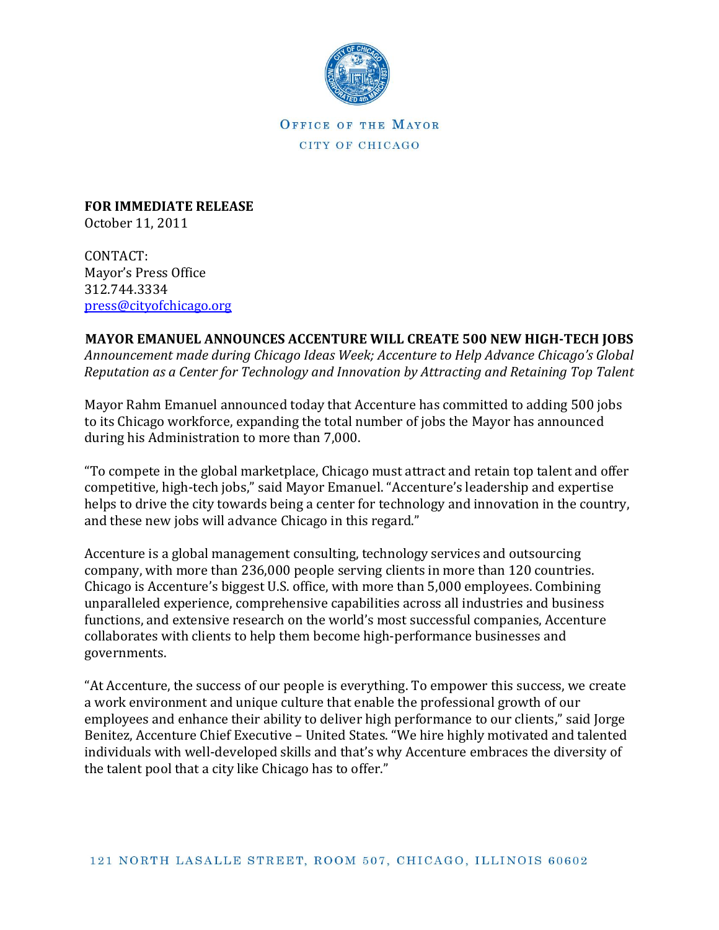

OFFICE OF THE MAYOR CITY OF CHICAGO

**FOR IMMEDIATE RELEASE** October 11, 2011

CONTACT: Mayor's Press Office 312.744.3334 [press@cityofchicago.org](mailto:press@cityofchicago.org)

## **MAYOR EMANUEL ANNOUNCES ACCENTURE WILL CREATE 500 NEW HIGH-TECH JOBS**

*Announcement made during Chicago Ideas Week; Accenture to Help Advance Chicago's Global Reputation as a Center for Technology and Innovation by Attracting and Retaining Top Talent*

Mayor Rahm Emanuel announced today that Accenture has committed to adding 500 jobs to its Chicago workforce, expanding the total number of jobs the Mayor has announced during his Administration to more than 7,000.

"To compete in the global marketplace, Chicago must attract and retain top talent and offer competitive, high-tech jobs," said Mayor Emanuel. "Accenture's leadership and expertise helps to drive the city towards being a center for technology and innovation in the country, and these new jobs will advance Chicago in this regard."

Accenture is a global management consulting, technology services and outsourcing company, with more than 236,000 people serving clients in more than 120 countries. Chicago is Accenture's biggest U.S. office, with more than 5,000 employees. Combining unparalleled experience, comprehensive capabilities across all industries and business functions, and extensive research on the world's most successful companies, Accenture collaborates with clients to help them become high-performance businesses and governments.

"At Accenture, the success of our people is everything. To empower this success, we create a work environment and unique culture that enable the professional growth of our employees and enhance their ability to deliver high performance to our clients," said Jorge Benitez, Accenture Chief Executive – United States. "We hire highly motivated and talented individuals with well-developed skills and that's why Accenture embraces the diversity of the talent pool that a city like Chicago has to offer."